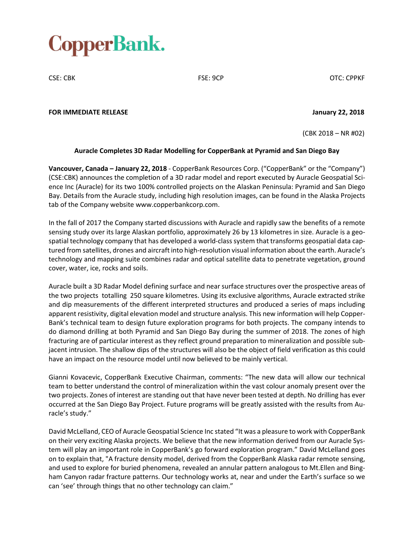# CopperBank.

CSE: CBK FSE: 9CP OTC: CPPKF

#### **FOR IMMEDIATE RELEASE January 22, 2018**

(CBK 2018 – NR #02)

## **Auracle Completes 3D Radar Modelling for CopperBank at Pyramid and San Diego Bay**

**Vancouver, Canada – January 22, 2018** - CopperBank Resources Corp. ("CopperBank" or the "Company") (CSE:CBK) announces the completion of a 3D radar model and report executed by Auracle Geospatial Science Inc (Auracle) for its two 100% controlled projects on the Alaskan Peninsula: Pyramid and San Diego Bay. Details from the Auracle study, including high resolution images, can be found in the Alaska Projects tab of the Company website www.copperbankcorp.com.

In the fall of 2017 the Company started discussions with Auracle and rapidly saw the benefits of a remote sensing study over its large Alaskan portfolio, approximately 26 by 13 kilometres in size. Auracle is a geospatial technology company that has developed a world-class system that transforms geospatial data captured from satellites, drones and aircraft into high-resolution visual information about the earth. Auracle's technology and mapping suite combines radar and optical satellite data to penetrate vegetation, ground cover, water, ice, rocks and soils.

Auracle built a 3D Radar Model defining surface and near surface structures over the prospective areas of the two projects totalling 250 square kilometres. Using its exclusive algorithms, Auracle extracted strike and dip measurements of the different interpreted structures and produced a series of maps including apparent resistivity, digital elevation model and structure analysis. This new information will help Copper-Bank's technical team to design future exploration programs for both projects. The company intends to do diamond drilling at both Pyramid and San Diego Bay during the summer of 2018. The zones of high fracturing are of particular interest as they reflect ground preparation to mineralization and possible subjacent intrusion. The shallow dips of the structures will also be the object of field verification as this could have an impact on the resource model until now believed to be mainly vertical.

Gianni Kovacevic, CopperBank Executive Chairman, comments: "The new data will allow our technical team to better understand the control of mineralization within the vast colour anomaly present over the two projects. Zones of interest are standing out that have never been tested at depth. No drilling has ever occurred at the San Diego Bay Project. Future programs will be greatly assisted with the results from Auracle's study."

David McLelland, CEO of Auracle Geospatial Science Inc stated "It was a pleasure to work with CopperBank on their very exciting Alaska projects. We believe that the new information derived from our Auracle System will play an important role in CopperBank's go forward exploration program." David McLelland goes on to explain that, "A fracture density model, derived from the CopperBank Alaska radar remote sensing, and used to explore for buried phenomena, revealed an annular pattern analogous to Mt.Ellen and Bingham Canyon radar fracture patterns. Our technology works at, near and under the Earth's surface so we can 'see' through things that no other technology can claim."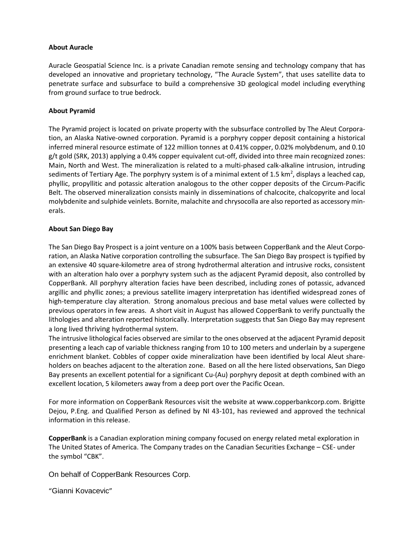#### **About Auracle**

Auracle Geospatial Science Inc. is a private Canadian remote sensing and technology company that has developed an innovative and proprietary technology, "The Auracle System", that uses satellite data to penetrate surface and subsurface to build a comprehensive 3D geological model including everything from ground surface to true bedrock.

### **About Pyramid**

The Pyramid project is located on private property with the subsurface controlled by The Aleut Corporation, an Alaska Native-owned corporation. Pyramid is a porphyry copper deposit containing a historical inferred mineral resource estimate of 122 million tonnes at 0.41% copper, 0.02% molybdenum, and 0.10 g/t gold (SRK, 2013) applying a 0.4% copper equivalent cut-off, divided into three main recognized zones: Main, North and West. The mineralization is related to a multi-phased calk-alkaline intrusion, intruding sediments of Tertiary Age. The porphyry system is of a minimal extent of 1.5 km<sup>2</sup>, displays a leached cap, phyllic, propyllitic and potassic alteration analogous to the other copper deposits of the Circum-Pacific Belt. The observed mineralization consists mainly in disseminations of chalcocite, chalcopyrite and local molybdenite and sulphide veinlets. Bornite, malachite and chrysocolla are also reported as accessory minerals.

#### **About San Diego Bay**

The San Diego Bay Prospect is a joint venture on a 100% basis between CopperBank and the Aleut Corporation, an Alaska Native corporation controlling the subsurface. The San Diego Bay prospect is typified by an extensive 40 square-kilometre area of strong hydrothermal alteration and intrusive rocks, consistent with an alteration halo over a porphyry system such as the adjacent Pyramid deposit, also controlled by CopperBank. All porphyry alteration facies have been described, including zones of potassic, advanced argillic and phyllic zones; a previous satellite imagery interpretation has identified widespread zones of high-temperature clay alteration. Strong anomalous precious and base metal values were collected by previous operators in few areas. A short visit in August has allowed CopperBank to verify punctually the lithologies and alteration reported historically. Interpretation suggests that San Diego Bay may represent a long lived thriving hydrothermal system.

The intrusive lithological facies observed are similar to the ones observed at the adjacent Pyramid deposit presenting a leach cap of variable thickness ranging from 10 to 100 meters and underlain by a supergene enrichment blanket. Cobbles of copper oxide mineralization have been identified by local Aleut shareholders on beaches adjacent to the alteration zone. Based on all the here listed observations, San Diego Bay presents an excellent potential for a significant Cu-(Au) porphyry deposit at depth combined with an excellent location, 5 kilometers away from a deep port over the Pacific Ocean.

For more information on CopperBank Resources visit the website at www.copperbankcorp.com. Brigitte Dejou, P.Eng. and Qualified Person as defined by NI 43-101, has reviewed and approved the technical information in this release.

**CopperBank** is a Canadian exploration mining company focused on energy related metal exploration in The United States of America. The Company trades on the Canadian Securities Exchange – CSE- under the symbol "CBK".

On behalf of CopperBank Resources Corp.

"Gianni Kovacevic"